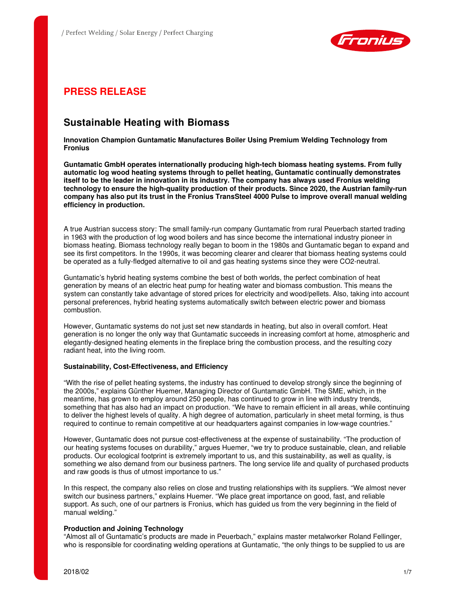

# **PRESS RELEASE**

# **Sustainable Heating with Biomass**

**Innovation Champion Guntamatic Manufactures Boiler Using Premium Welding Technology from Fronius** 

**Guntamatic GmbH operates internationally producing high-tech biomass heating systems. From fully automatic log wood heating systems through to pellet heating, Guntamatic continually demonstrates itself to be the leader in innovation in its industry. The company has always used Fronius welding technology to ensure the high-quality production of their products. Since 2020, the Austrian family-run company has also put its trust in the Fronius TransSteel 4000 Pulse to improve overall manual welding efficiency in production.** 

A true Austrian success story: The small family-run company Guntamatic from rural Peuerbach started trading in 1963 with the production of log wood boilers and has since become the international industry pioneer in biomass heating. Biomass technology really began to boom in the 1980s and Guntamatic began to expand and see its first competitors. In the 1990s, it was becoming clearer and clearer that biomass heating systems could be operated as a fully-fledged alternative to oil and gas heating systems since they were CO2-neutral.

Guntamatic's hybrid heating systems combine the best of both worlds, the perfect combination of heat generation by means of an electric heat pump for heating water and biomass combustion. This means the system can constantly take advantage of stored prices for electricity and wood/pellets. Also, taking into account personal preferences, hybrid heating systems automatically switch between electric power and biomass combustion.

However, Guntamatic systems do not just set new standards in heating, but also in overall comfort. Heat generation is no longer the only way that Guntamatic succeeds in increasing comfort at home, atmospheric and elegantly-designed heating elements in the fireplace bring the combustion process, and the resulting cozy radiant heat, into the living room.

## **Sustainability, Cost-Effectiveness, and Efficiency**

"With the rise of pellet heating systems, the industry has continued to develop strongly since the beginning of the 2000s," explains Günther Huemer, Managing Director of Guntamatic GmbH. The SME, which, in the meantime, has grown to employ around 250 people, has continued to grow in line with industry trends, something that has also had an impact on production. "We have to remain efficient in all areas, while continuing to deliver the highest levels of quality. A high degree of automation, particularly in sheet metal forming, is thus required to continue to remain competitive at our headquarters against companies in low-wage countries."

However, Guntamatic does not pursue cost-effectiveness at the expense of sustainability. "The production of our heating systems focuses on durability," argues Huemer, "we try to produce sustainable, clean, and reliable products. Our ecological footprint is extremely important to us, and this sustainability, as well as quality, is something we also demand from our business partners. The long service life and quality of purchased products and raw goods is thus of utmost importance to us."

In this respect, the company also relies on close and trusting relationships with its suppliers. "We almost never switch our business partners," explains Huemer. "We place great importance on good, fast, and reliable support. As such, one of our partners is Fronius, which has guided us from the very beginning in the field of manual welding."

## **Production and Joining Technology**

"Almost all of Guntamatic's products are made in Peuerbach," explains master metalworker Roland Fellinger, who is responsible for coordinating welding operations at Guntamatic, "the only things to be supplied to us are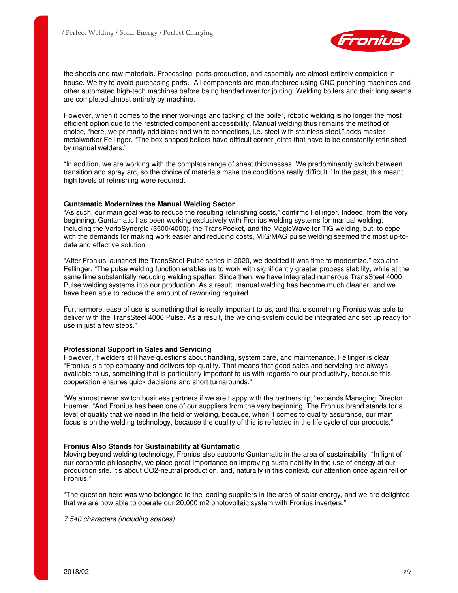

the sheets and raw materials. Processing, parts production, and assembly are almost entirely completed inhouse. We try to avoid purchasing parts." All components are manufactured using CNC punching machines and other automated high-tech machines before being handed over for joining. Welding boilers and their long seams are completed almost entirely by machine.

However, when it comes to the inner workings and tacking of the boiler, robotic welding is no longer the most efficient option due to the restricted component accessibility. Manual welding thus remains the method of choice, "here, we primarily add black and white connections, i.e. steel with stainless steel," adds master metalworker Fellinger. "The box-shaped boilers have difficult corner joints that have to be constantly refinished by manual welders."

"In addition, we are working with the complete range of sheet thicknesses. We predominantly switch between transition and spray arc, so the choice of materials make the conditions really difficult." In the past, this meant high levels of refinishing were required.

### **Guntamatic Modernizes the Manual Welding Sector**

"As such, our main goal was to reduce the resulting refinishing costs," confirms Fellinger. Indeed, from the very beginning, Guntamatic has been working exclusively with Fronius welding systems for manual welding, including the VarioSynergic (3500/4000), the TransPocket, and the MagicWave for TIG welding, but, to cope with the demands for making work easier and reducing costs, MIG/MAG pulse welding seemed the most up-todate and effective solution.

"After Fronius launched the TransSteel Pulse series in 2020, we decided it was time to modernize," explains Fellinger. "The pulse welding function enables us to work with significantly greater process stability, while at the same time substantially reducing welding spatter. Since then, we have integrated numerous TransSteel 4000 Pulse welding systems into our production. As a result, manual welding has become much cleaner, and we have been able to reduce the amount of reworking required.

Furthermore, ease of use is something that is really important to us, and that's something Fronius was able to deliver with the TransSteel 4000 Pulse. As a result, the welding system could be integrated and set up ready for use in just a few steps."

## **Professional Support in Sales and Servicing**

However, if welders still have questions about handling, system care, and maintenance, Fellinger is clear, "Fronius is a top company and delivers top quality. That means that good sales and servicing are always available to us, something that is particularly important to us with regards to our productivity, because this cooperation ensures quick decisions and short turnarounds."

"We almost never switch business partners if we are happy with the partnership," expands Managing Director Huemer. "And Fronius has been one of our suppliers from the very beginning. The Fronius brand stands for a level of quality that we need in the field of welding, because, when it comes to quality assurance, our main focus is on the welding technology, because the quality of this is reflected in the life cycle of our products."

#### **Fronius Also Stands for Sustainability at Guntamatic**

Moving beyond welding technology, Fronius also supports Guntamatic in the area of sustainability. "In light of our corporate philosophy, we place great importance on improving sustainability in the use of energy at our production site. It's about CO2-neutral production, and, naturally in this context, our attention once again fell on Fronius."

"The question here was who belonged to the leading suppliers in the area of solar energy, and we are delighted that we are now able to operate our 20,000 m2 photovoltaic system with Fronius inverters."

7 540 characters (including spaces)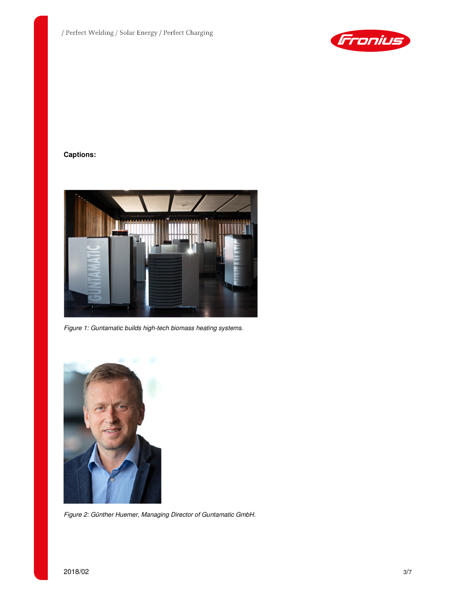

# **Captions:**



Figure 1: Guntamatic builds high-tech biomass heating systems.



Figure 2: Günther Huemer, Managing Director of Guntamatic GmbH.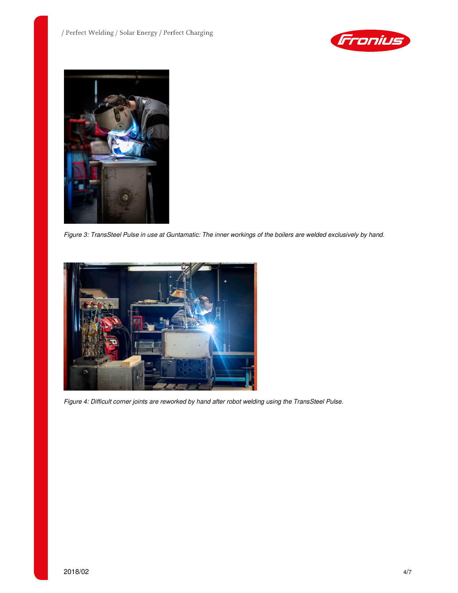



Figure 3: TransSteel Pulse in use at Guntamatic: The inner workings of the boilers are welded exclusively by hand.



Figure 4: Difficult corner joints are reworked by hand after robot welding using the TransSteel Pulse.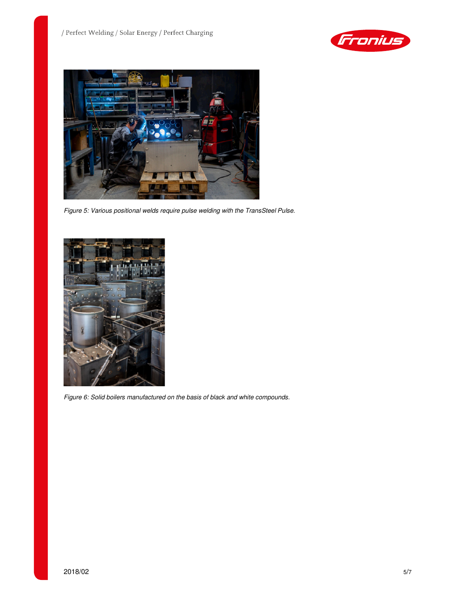



Figure 5: Various positional welds require pulse welding with the TransSteel Pulse.



Figure 6: Solid boilers manufactured on the basis of black and white compounds.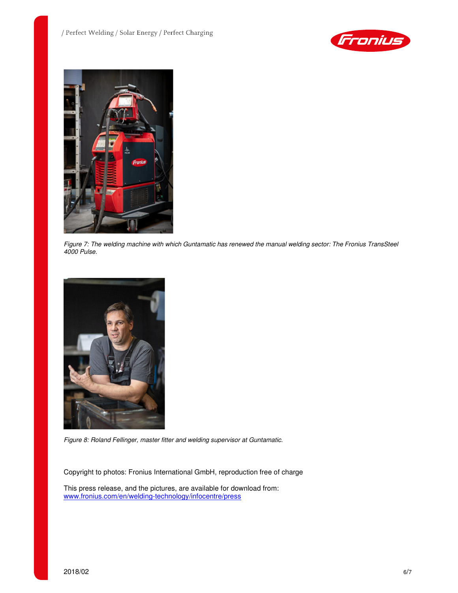



Figure 7: The welding machine with which Guntamatic has renewed the manual welding sector: The Fronius TransSteel 4000 Pulse.



Figure 8: Roland Fellinger, master fitter and welding supervisor at Guntamatic.

Copyright to photos: Fronius International GmbH, reproduction free of charge

This press release, and the pictures, are available for download from: www.fronius.com/en/welding-technology/infocentre/press